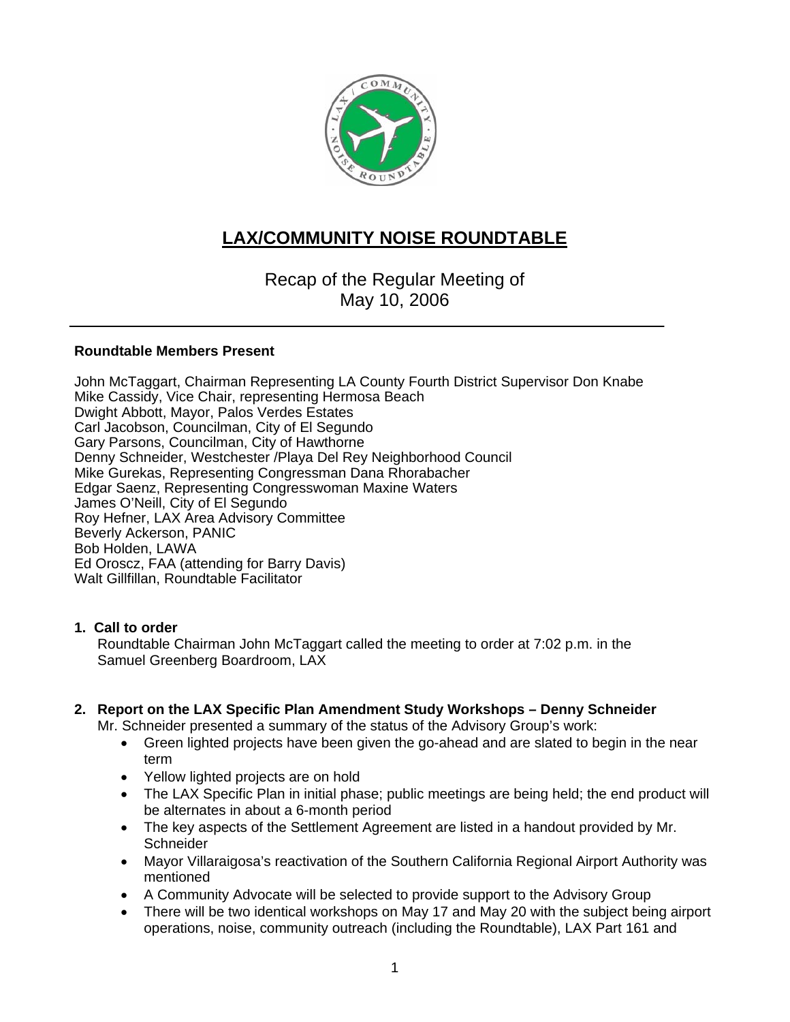

# **LAX/COMMUNITY NOISE ROUNDTABLE**

Recap of the Regular Meeting of May 10, 2006

#### **Roundtable Members Present**

John McTaggart, Chairman Representing LA County Fourth District Supervisor Don Knabe Mike Cassidy, Vice Chair, representing Hermosa Beach Dwight Abbott, Mayor, Palos Verdes Estates Carl Jacobson, Councilman, City of El Segundo Gary Parsons, Councilman, City of Hawthorne Denny Schneider, Westchester /Playa Del Rey Neighborhood Council Mike Gurekas, Representing Congressman Dana Rhorabacher Edgar Saenz, Representing Congresswoman Maxine Waters James O'Neill, City of El Segundo Roy Hefner, LAX Area Advisory Committee Beverly Ackerson, PANIC Bob Holden, LAWA Ed Oroscz, FAA (attending for Barry Davis) Walt Gillfillan, Roundtable Facilitator

#### **1. Call to order**

Roundtable Chairman John McTaggart called the meeting to order at 7:02 p.m. in the Samuel Greenberg Boardroom, LAX

## **2. Report on the LAX Specific Plan Amendment Study Workshops – Denny Schneider**

Mr. Schneider presented a summary of the status of the Advisory Group's work:

- Green lighted projects have been given the go-ahead and are slated to begin in the near term
- Yellow lighted projects are on hold
- The LAX Specific Plan in initial phase; public meetings are being held; the end product will be alternates in about a 6-month period
- The key aspects of the Settlement Agreement are listed in a handout provided by Mr. **Schneider**
- Mayor Villaraigosa's reactivation of the Southern California Regional Airport Authority was mentioned
- A Community Advocate will be selected to provide support to the Advisory Group
- There will be two identical workshops on May 17 and May 20 with the subject being airport operations, noise, community outreach (including the Roundtable), LAX Part 161 and